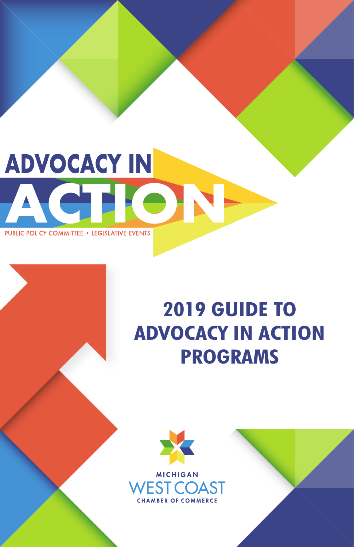# **ADVOCACY IN ACTIC PUBLIC POLICY COMMITTEE . LEGISLATIVE EVENTS**

# **2019 GUIDE TO ADVOCACY IN ACTION PROGRAMS**

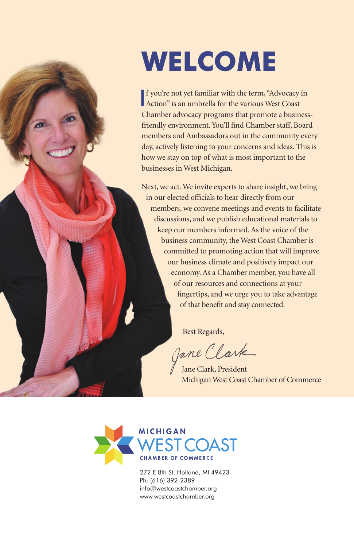# **WELCOME**

If you're not yet familiar with the term, "Advocacy"<br>Action" is an umbrella for the various West Coast f you're not yet familiar with the term, "Advocacy in Chamber advocacy programs that promote a businessfriendly environment.You'll find Chamber staff, Board members and Ambassadors out in the community every day, actively listening to your concerns and ideas. This is how we stay on top of what is most important to the businesses in West Michigan.

Next, we act. We invite experts to share insight, we bring in our elected officials to hear directly from our members, we convene meetings and events to facilitate discussions, and we publish educational materials to keep our members informed. As the voice of the business community, the West Coast Chamber is committed to promoting action that will improve our business climate and positively impact our economy. As a Chamber member, you have all of our resources and connections at your fingertips, and we urge you to take advantage of that benefit and stay connected.

Best Regards,

Jane Clark

Jane Clark, President Michigan West Coast Chamber of Commerce



272 E 8th St, Holland, MI 49423 Ph: (616) 392-2389 info@westcoastchamber.org www.westcoastchamber.org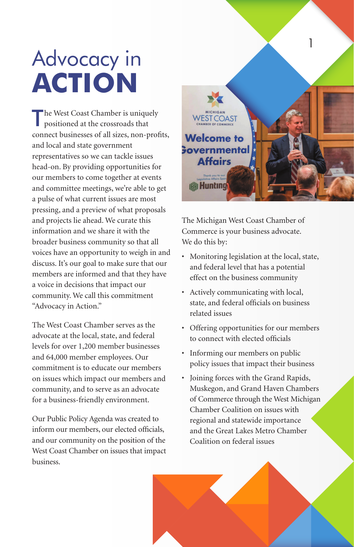# Advocacy in **ACTION**

'he West Coast Chamber is uniquely positioned at the crossroads that connect businesses of all sizes, non-profits, and local and state government representatives so we can tackle issues head-on. By providing opportunities for our members to come together at events and committee meetings, we're able to get a pulse of what current issues are most pressing, and a preview of what proposals and projects lie ahead. We curate this information and we share it with the broader business community so that all voices have an opportunity to weigh in and discuss. It's our goal to make sure that our members are informed and that they have a voice in decisions that impact our community. We call this commitment "Advocacy in Action."

The West Coast Chamber serves as the advocate at the local, state, and federal levels for over 1,200 member businesses and 64,000 member employees. Our commitment is to educate our members on issues which impact our members and community, and to serve as an advocate for a business-friendly environment.

Our Public Policy Agenda was created to inform our members, our elected officials, and our community on the position of the West Coast Chamber on issues that impact business.



The Michigan West Coast Chamber of Commerce is your business advocate. We do this by:

- Monitoring legislation at the local, state, and federal level that has a potential effect on the business community
- Actively communicating with local, state, and federal officials on business related issues
- Offering opportunities for our members to connect with elected officials
- Informing our members on public policy issues that impact their business
- Joining forces with the Grand Rapids, Muskegon, and Grand Haven Chambers of Commerce through the West Michigan Chamber Coalition on issues with regional and statewide importance and the Great Lakes Metro Chamber Coalition on federal issues

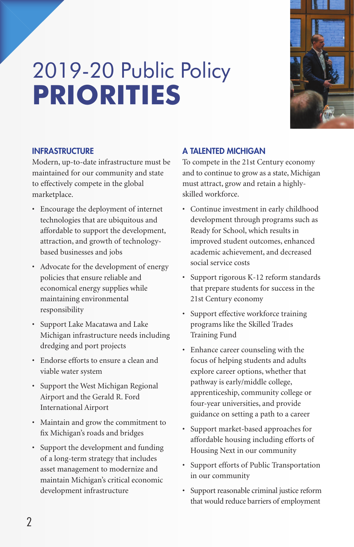# 2019-20 Public Policy **PRIORITIES**



# INFRASTRUCTURE

Modern, up-to-date infrastructure must be maintained for our community and state to effectively compete in the global marketplace.

- Encourage the deployment of internet technologies that are ubiquitous and affordable to support the development, attraction, and growth of technologybased businesses and jobs
- Advocate for the development of energy policies that ensure reliable and economical energy supplies while maintaining environmental responsibility
- Support Lake Macatawa and Lake Michigan infrastructure needs including dredging and port projects
- Endorse efforts to ensure a clean and viable water system
- Support the West Michigan Regional Airport and the Gerald R. Ford International Airport
- Maintain and grow the commitment to fix Michigan's roads and bridges
- Support the development and funding of a long-term strategy that includes asset management to modernize and maintain Michigan's critical economic development infrastructure

# A TALENTED MICHIGAN

To compete in the 21st Century economy and to continue to grow as a state, Michigan must attract, grow and retain a highlyskilled workforce.

- Continue investment in early childhood development through programs such as Ready for School, which results in improved student outcomes, enhanced academic achievement, and decreased social service costs
- Support rigorous K-12 reform standards that prepare students for success in the 21st Century economy
- Support effective workforce training programs like the Skilled Trades Training Fund
- Enhance career counseling with the focus of helping students and adults explore career options, whether that pathway is early/middle college, apprenticeship, community college or four-year universities, and provide guidance on setting a path to a career
- Support market-based approaches for affordable housing including efforts of Housing Next in our community
- Support efforts of Public Transportation in our community
- Support reasonable criminal justice reform that would reduce barriers of employment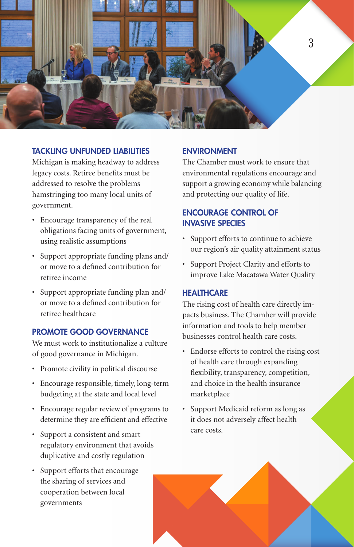

# TACKLING UNFUNDED LIABILITIES

Michigan is making headway to address legacy costs. Retiree benefits must be addressed to resolve the problems hamstringing too many local units of government.

- Encourage transparency of the real obligations facing units of government, using realistic assumptions
- Support appropriate funding plans and/ or move to a defined contribution for retiree income
- Support appropriate funding plan and/ or move to a defined contribution for retiree healthcare

# PROMOTE GOOD GOVERNANCE

We must work to institutionalize a culture of good governance in Michigan.

- Promote civility in political discourse
- Encourage responsible, timely, long-term budgeting at the state and local level
- Encourage regular review of programs to determine they are efficient and effective
- Support a consistent and smart regulatory environment that avoids duplicative and costly regulation
- Support efforts that encourage the sharing of services and cooperation between local governments

### ENVIRONMENT

The Chamber must work to ensure that environmental regulations encourage and support a growing economy while balancing and protecting our quality of life.

# ENCOURAGE CONTROL OF INVASIVE SPECIES

- Support efforts to continue to achieve our region's air quality attainment status
- Support Project Clarity and efforts to improve Lake Macatawa Water Quality

#### **HEALTHCARE**

The rising cost of health care directly impacts business. The Chamber will provide information and tools to help member businesses control health care costs.

- Endorse efforts to control the rising cost of health care through expanding flexibility, transparency, competition, and choice in the health insurance marketplace
- Support Medicaid reform as long as it does not adversely affect health care costs.

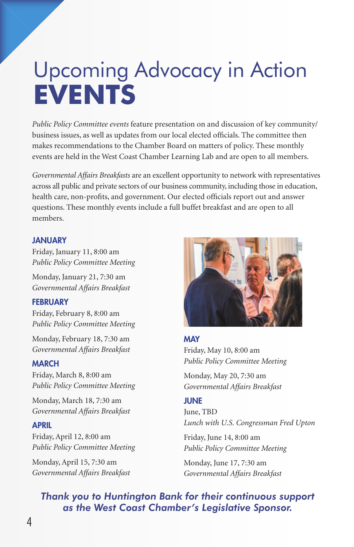# Upcoming Advocacy in Action **EVENTS**

*Public Policy Committee events* feature presentation on and discussion of key community/ business issues, as well as updates from our local elected officials. The committee then makes recommendations to the Chamber Board on matters of policy. These monthly events are held in the West Coast Chamber Learning Lab and are open to all members.

*Governmental Affairs Breakfasts* are an excellent opportunity to network with representatives across all public and private sectors of our business community, including those in education, health care, non-profits, and government. Our elected officials report out and answer questions. These monthly events include a full buffet breakfast and are open to all members.

# **JANUARY**

Friday, January 11, 8:00 am *Public Policy Committee Meeting*

Monday, January 21, 7:30 am *Governmental Affairs Breakfast*

### **FEBRUARY**

Friday, February 8, 8:00 am *Public Policy Committee Meeting*

Monday, February 18, 7:30 am *Governmental Affairs Breakfast*

#### MARCH

Friday, March 8, 8:00 am *Public Policy Committee Meeting*

Monday, March 18, 7:30 am *Governmental Affairs Breakfast*

#### APRIL

Friday, April 12, 8:00 am *Public Policy Committee Meeting*

Monday, April 15, 7:30 am *Governmental Affairs Breakfast*



# MAY Friday, May 10, 8:00 am *Public Policy Committee Meeting*

Monday, May 20, 7:30 am *Governmental Affairs Breakfast*

### **JUNE**

June, TBD *Lunch with U.S. Congressman Fred Upton*

Friday, June 14, 8:00 am *Public Policy Committee Meeting*

Monday, June 17, 7:30 am *Governmental Affairs Breakfast*

# *Thank you to Huntington Bank for their continuous support as the West Coast Chamber's Legislative Sponsor.*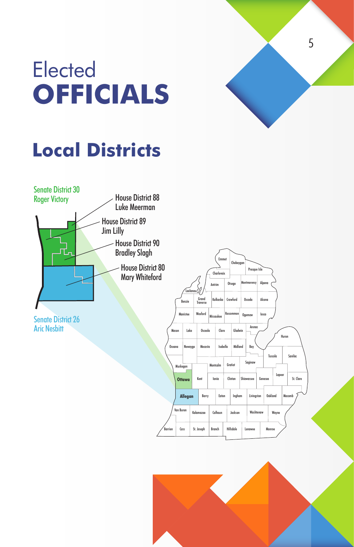



# **Local Districts**



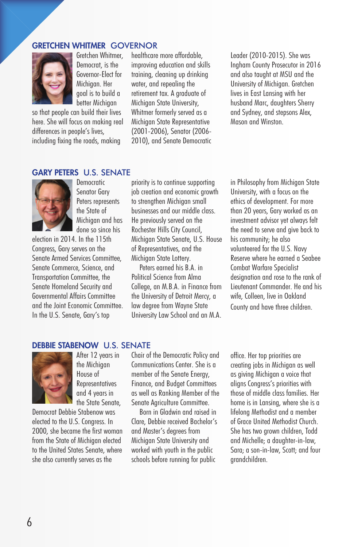### GRETCHEN WHITMER GOVERNOR



Gretchen Whitmer, Democrat, is the Governor-Elect for Michigan. Her goal is to build a better Michigan

so that people can build their lives here. She will focus on making real differences in people's lives, including fixing the roads, making

healthcare more affordable, improving education and skills training, cleaning up drinking water, and repealing the retirement tax. A graduate of Michigan State University, Whitmer formerly served as a Michigan State Representative (2001-2006), Senator (2006- 2010), and Senate Democratic Leader (2010-2015). She was Ingham County Prosecutor in 2016 and also taught at MSU and the University of Michigan. Gretchen lives in East Lansing with her husband Marc, daughters Sherry and Sydney, and stepsons Alex, Mason and Winston.

### GARY PETERS U.S. SENATE



Democratic Senator Gary Peters represents the State of Michigan and has done so since his

election in 2014. In the 115th Congress, Gary serves on the Senate Armed Services Committee, Senate Commerce, Science, and Transportation Committee, the Senate Homeland Security and Governmental Affairs Committee and the Joint Economic Committee. In the U.S. Senate, Gary's top

priority is to continue supporting job creation and economic growth to strengthen Michigan small businesses and our middle class. He previously served on the Rochester Hills City Council, Michigan State Senate, U.S. House of Representatives, and the Michigan State Lottery.

Peters earned his B.A. in Political Science from Alma College, an M.B.A. in Finance from the University of Detroit Mercy, a law degree from Wayne State University Law School and an M.A. in Philosophy from Michigan State University, with a focus on the ethics of development. For more than 20 years, Gary worked as an investment advisor yet always felt the need to serve and give back to his community; he also volunteered for the U.S. Navy Reserve where he earned a Seabee Combat Warfare Specialist designation and rose to the rank of Lieutenant Commander. He and his wife, Colleen, live in Oakland County and have three children.

### DEBBIE STABENOW U.S. SENATE



elected to the U.S. Congress. In 2000, she became the first woman from the State of Michigan elected to the United States Senate, where she also currently serves as the

After 12 years in the Michigan House of **Representatives** and 4 years in the State Senate, Democrat Debbie Stabenow was

Chair of the Democratic Policy and Communications Center. She is a member of the Senate Energy, Finance, and Budget Committees as well as Ranking Member of the Senate Agriculture Committee.

Born in Gladwin and raised in Clare, Debbie received Bachelor's and Master's degrees from Michigan State University and worked with youth in the public schools before running for public

office. Her top priorities are creating jobs in Michigan as well as giving Michigan a voice that aligns Congress's priorities with those of middle class families. Her home is in Lansing, where she is a lifelong Methodist and a member of Grace United Methodist Church. She has two grown children, Todd and Michelle; a daughter-in-law, Sara; a son-in-law, Scott; and four grandchildren.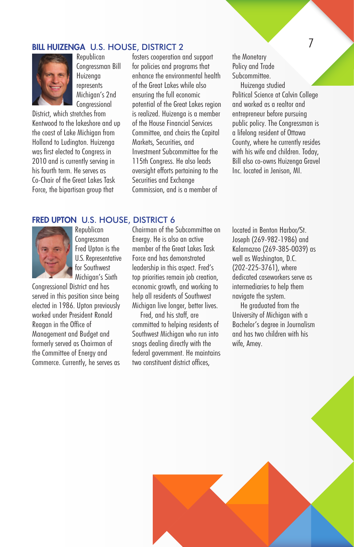# **BILL HUIZENGA U.S. HOUSE, DISTRICT 2** 7



Republican Congressman Bill Huizenga represents Michigan's 2nd Congressional

District, which stretches from Kentwood to the lakeshore and up the coast of Lake Michigan from Holland to Ludington. Huizenga was first elected to Congress in 2010 and is currently serving in his fourth term. He serves as Co-Chair of the Great Lakes Task Force, the bipartisan group that

fosters cooperation and support for policies and programs that enhance the environmental health of the Great Lakes while also ensuring the full economic potential of the Great Lakes region is realized. Huizenga is a member of the House Financial Services Committee, and chairs the Capital Markets, Securities, and Investment Subcommittee for the 115th Congress. He also leads oversight efforts pertaining to the Securities and Exchange Commission, and is a member of

the Monetary Policy and Trade Subcommittee.

Huizenga studied Political Science at Calvin College and worked as a realtor and entrepreneur before pursuing public policy. The Congressman is a lifelong resident of Ottawa County, where he currently resides with his wife and children. Today, Bill also co-owns Huizenga Gravel Inc. located in Jenison, MI.

#### FRED UPTON U.S. HOUSE, DISTRICT 6



Republican **Congressman** Fred Upton is the U.S. Representative for Southwest Michigan's Sixth

Congressional District and has served in this position since being elected in 1986. Upton previously worked under President Ronald Reagan in the Office of Management and Budget and formerly served as Chairman of the Committee of Energy and Commerce. Currently, he serves as Chairman of the Subcommittee on Energy. He is also an active member of the Great Lakes Task Force and has demonstrated leadership in this aspect. Fred's top priorities remain job creation, economic growth, and working to help all residents of Southwest Michigan live longer, better lives.

Fred, and his staff, are committed to helping residents of Southwest Michigan who run into snags dealing directly with the federal government. He maintains two constituent district offices,

located in Benton Harbor/St. Joseph (269-982-1986) and Kalamazoo (269-385-0039) as well as Washington, D.C. (202-225-3761), where dedicated caseworkers serve as intermediaries to help them navigate the system.

He graduated from the University of Michigan with a Bachelor's degree in Journalism and has two children with his wife, Amey.

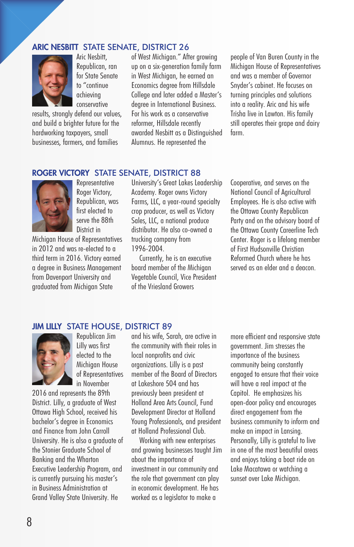# ARIC NESBITT STATE SENATE, DISTRICT 26



Aric Nesbitt, Republican, ran for State Senate to "continue achieving conservative

results, strongly defend our values, and build a brighter future for the hardworking taxpayers, small businesses, farmers, and families

of West Michigan." After growing up on a six-generation family farm in West Michigan, he earned an Economics degree from Hillsdale College and later added a Master's degree in International Business. For his work as a conservative reformer, Hillsdale recently awarded Nesbitt as a Distinguished Alumnus. He represented the

people of Van Buren County in the Michigan House of Representatives and was a member of Governor Snyder's cabinet. He focuses on turning principles and solutions into a reality. Aric and his wife Trisha live in Lawton. His family still operates their grape and dairy farm.

### ROGER VICTORY STATE SENATE, DISTRICT 88



Representative Roger Victory, Republican, was first elected to serve the 88th District in

Michigan House of Representatives in 2012 and was re-elected to a third term in 2016. Victory earned a degree in Business Management from Davenport University and graduated from Michigan State

University's Great Lakes Leadership Academy. Roger owns Victory Farms, LLC, a year-round specialty crop producer, as well as Victory Sales, LLC, a national produce distributor. He also co-owned a trucking company from 1996-2004.

Currently, he is an executive board member of the Michigan Vegetable Council, Vice President of the Vriesland Growers

Cooperative, and serves on the National Council of Agricultural Employees. He is also active with the Ottawa County Republican Party and on the advisory board of the Ottawa County Careerline Tech Center. Roger is a lifelong member of First Hudsonville Christian Reformed Church where he has served as an elder and a deacon.

### JIM LILLY STATE HOUSE, DISTRICT 89



Republican Jim Lilly was first elected to the Michigan House of Representatives in November

2016 and represents the 89th District. Lilly, a graduate of West Ottawa High School, received his bachelor's degree in Economics and Finance from John Carroll University. He is also a graduate of the Stonier Graduate School of Banking and the Wharton Executive Leadership Program, and is currently pursuing his master's in Business Administration at Grand Valley State University. He

and his wife, Sarah, are active in the community with their roles in local nonprofits and civic organizations. Lilly is a past member of the Board of Directors at Lakeshore 504 and has previously been president at Holland Area Arts Council, Fund Development Director at Holland Young Professionals, and president at Holland Professional Club.

Working with new enterprises and growing businesses taught Jim about the importance of investment in our community and the role that government can play in economic development. He has worked as a legislator to make a

more efficient and responsive state government. Jim stresses the importance of the business community being constantly engaged to ensure that their voice will have a real impact at the Capitol. He emphasizes his open-door policy and encourages direct engagement from the business community to inform and make an impact in Lansing. Personally, Lilly is grateful to live in one of the most beautiful areas and enjoys taking a boat ride on Lake Macatawa or watching a sunset over Lake Michigan.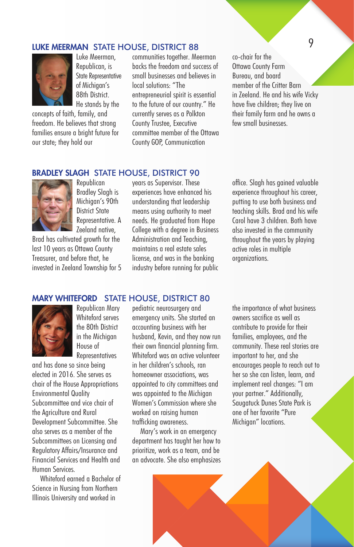# LUKE MEERMAN STATE HOUSE, DISTRICT 88 9



Luke Meerman, Republican, is State Representative of Michigan's 88th District. He stands by the

concepts of faith, family, and freedom. He believes that strong families ensure a bright future for our state; they hold our

communities together. Meerman backs the freedom and success of small businesses and believes in local solutions: "The entrepreneurial spirit is essential to the future of our country." He currently serves as a Polkton County Trustee, Executive committee member of the Ottawa County GOP, Communication

co-chair for the Ottawa County Farm Bureau, and board member of the Critter Barn in Zeeland. He and his wife Vicky have five children; they live on their family farm and he owns a few small businesses.

#### BRADLEY SLAGH STATE HOUSE, DISTRICT 90



Republican Bradley Slagh is Michigan's 90th District State Representative. A Zeeland native,

Brad has cultivated growth for the last 10 years as Ottawa County Treasurer, and before that, he invested in Zeeland Township for 5 years as Supervisor. These experiences have enhanced his understanding that leadership means using authority to meet needs. He graduated from Hope College with a degree in Business Administration and Teaching, maintains a real estate sales license, and was in the banking industry before running for public

office. Slagh has gained valuable experience throughout his career, putting to use both business and teaching skills. Brad and his wife Carol have 3 children. Both have also invested in the community throughout the years by playing active roles in multiple organizations.

# MARY WHITEFORD STATE HOUSE, DISTRICT 80



Republican Mary Whiteford serves the 80th District in the Michigan House of Representatives

and has done so since being elected in 2016. She serves as chair of the House Appropriations Environmental Quality Subcommittee and vice chair of the Agriculture and Rural Development Subcommittee. She also serves as a member of the Subcommittees on Licensing and Regulatory Affairs/Insurance and Financial Services and Health and Human Services.

Whiteford earned a Bachelor of Science in Nursing from Northern Illinois University and worked in

pediatric neurosurgery and emergency units. She started an accounting business with her husband, Kevin, and they now run their own financial planning firm. Whiteford was an active volunteer in her children's schools, ran homeowner associations, was appointed to city committees and was appointed to the Michigan Women's Commission where she worked on raising human trafficking awareness.

Mary's work in an emergency department has taught her how to prioritize, work as a team, and be an advocate. She also emphasizes the importance of what business owners sacrifice as well as contribute to provide for their families, employees, and the community. These real stories are important to her, and she encourages people to reach out to her so she can listen, learn, and implement real changes: "I am your partner." Additionally, Saugatuck Dunes State Park is one of her favorite "Pure Michigan" locations.